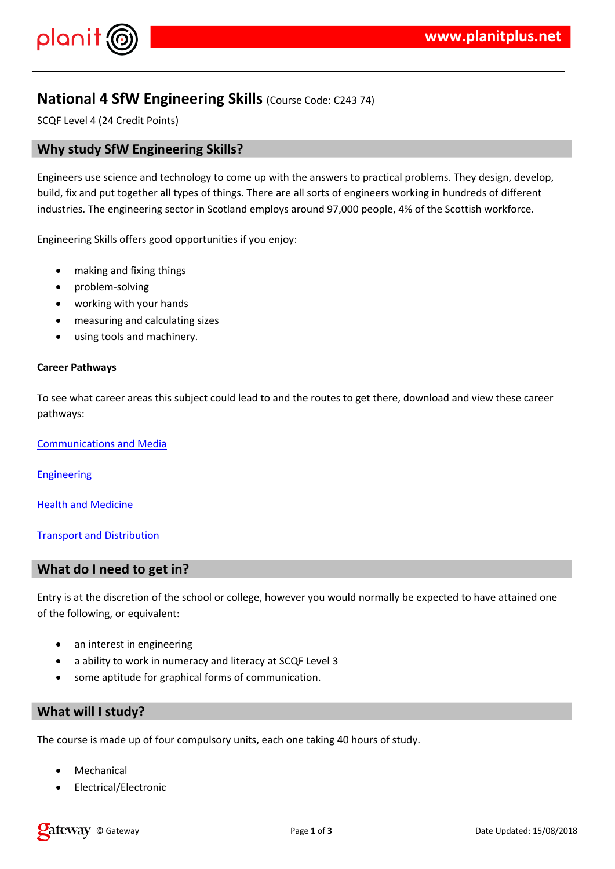$!$  " # \$ %  $\sim$  8  $\sim$  8

8. 8. - \* 8. 88.) (2 /  $\%$  / 3\* ) & 1 ) -

 $( ' 8' 8' 18\% % )$   $'8 8' 1$ 

- $+ 18'$  '  $808'$  \*  $8'$  $, \%$  +5 %\$&'  $8^{+}$  \* \* '  $18'$  $+$  8.'  $)$  %) % & 8.'
- $8'$  % +  $)*8'$  -

\* )  $, 4 * \aleph$  ) % ' \*  $*$  / '% ' \$&

 $+$   $+$   $8$   $8$   $7$   $8$ 

 $(18)$   $8$ 

 $8 \frac{96 \times 7}{8}$  & ) &

 $\begin{array}{ccc} . & . & . & . & . & \& . & & . & \& . & \& . & \& . & \end{array}$ 

 $(\square$ & \* & ) )& '%) % % / \* \$ %, 0 +) % % \$  $8'$ \*  $% \%$  89' 84 \$ % '

 $\mathcal{L}^{\mathcal{L}}(\mathcal{L}^{\mathcal{L}}(\mathcal{L}^{\mathcal{L}}(\mathcal{L}^{\mathcal{L}}(\mathcal{L}^{\mathcal{L}}(\mathcal{L}^{\mathcal{L}}(\mathcal{L}^{\mathcal{L}}(\mathcal{L}^{\mathcal{L}}(\mathcal{L}^{\mathcal{L}}(\mathcal{L}^{\mathcal{L}}(\mathcal{L}^{\mathcal{L}}(\mathcal{L}^{\mathcal{L}}(\mathcal{L}^{\mathcal{L}}(\mathcal{L}^{\mathcal{L}}(\mathcal{L}^{\mathcal{L}}(\mathcal{L}^{\mathcal{L}}(\mathcal{L}^{\mathcal{L$ 

 $8'$   $8'$   $8'$   $8'$   $8'$   $8'$  $1 \& '$  '%+& ) ) '!" # \$ % , & % &  $+$  8  $*$  8) %  $)$  +  $+$   $*$  8) 8  $-$ 

 $.*$  ) & + ) + % '& / ) \* ' 1&' \*

 $7$  )<sup>\*</sup>  $8$ ) %  $($ %) &  $)$  %  $($ %)  $'8$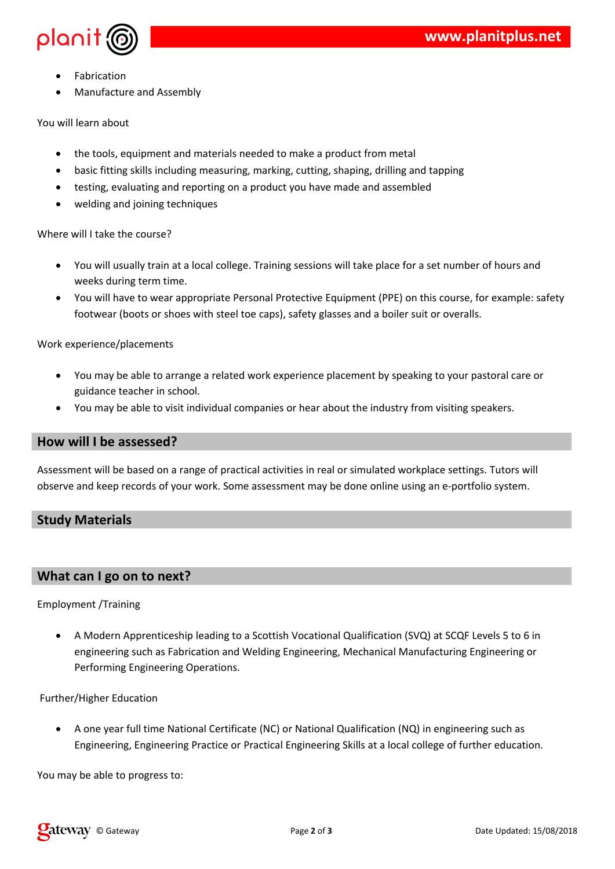



- Fabrication
- Manufacture and Assembly

You will learn about

- the tools, equipment and materials needed to make a product from metal
- basic fitting skills including measuring, marking, cutting, shaping, drilling and tapping
- testing, evaluating and reporting on a product you have made and assembled
- welding and joining techniques

Where will I take the course?

- You will usually train at a local college. Training sessions will take place for a set number of hours and weeks during term time.
- You will have to wear appropriate Personal Protective Equipment (PPE) on this course, for example: safety footwear (boots or shoes with steel toe caps), safety glasses and a boiler suit or overalls.

Work experience/placements

- You may be able to arrange a related work experience placement by speaking to your pastoral care or guidance teacher in school.
- You may be able to visit individual companies or hear about the industry from visiting speakers.

### **How will I be assessed?**

Assessment will be based on a range of practical activities in real or simulated workplace settings. Tutors will observe and keep records of your work. Some assessment may be done online using an e-portfolio system.

# **Study Materials**

# **What can I go on to next?**

### Employment /Training

 A Modern Apprenticeship leading to a Scottish Vocational Qualification (SVQ) at SCQF Levels 5 to 6 in engineering such as Fabrication and Welding Engineering, Mechanical Manufacturing Engineering or Performing Engineering Operations.

Further/Higher Education

 A one year full time National Certificate (NC) or National Qualification (NQ) in engineering such as Engineering, Engineering Practice or Practical Engineering Skills at a local college of further education.

You may be able to progress to: